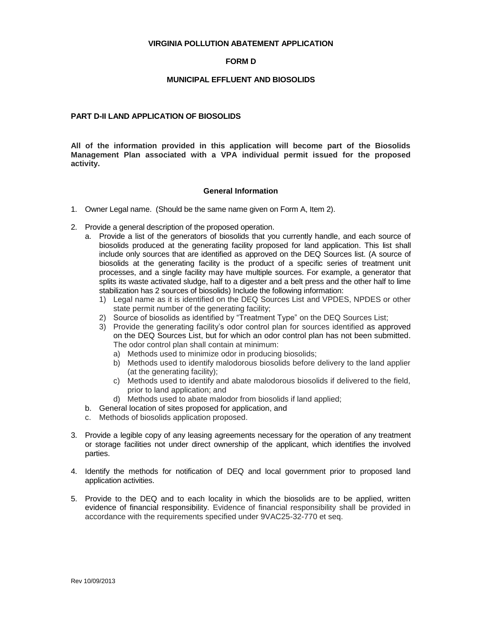## **VIRGINIA POLLUTION ABATEMENT APPLICATION**

## **FORM D**

## **MUNICIPAL EFFLUENT AND BIOSOLIDS**

## **PART D-II LAND APPLICATION OF BIOSOLIDS**

**All of the information provided in this application will become part of the Biosolids Management Plan associated with a VPA individual permit issued for the proposed activity.** 

## **General Information**

- 1. Owner Legal name. (Should be the same name given on Form A, Item 2).
- 2. Provide a general description of the proposed operation.
	- a. Provide a list of the generators of biosolids that you currently handle, and each source of biosolids produced at the generating facility proposed for land application. This list shall include only sources that are identified as approved on the DEQ Sources list. (A source of biosolids at the generating facility is the product of a specific series of treatment unit processes, and a single facility may have multiple sources. For example, a generator that splits its waste activated sludge, half to a digester and a belt press and the other half to lime stabilization has 2 sources of biosolids) Include the following information:
		- 1) Legal name as it is identified on the DEQ Sources List and VPDES, NPDES or other state permit number of the generating facility;
		- 2) Source of biosolids as identified by "Treatment Type" on the DEQ Sources List;
		- 3) Provide the generating facility's odor control plan for sources identified as approved on the DEQ Sources List, but for which an odor control plan has not been submitted. The odor control plan shall contain at minimum:
			- a) Methods used to minimize odor in producing biosolids;
			- b) Methods used to identify malodorous biosolids before delivery to the land applier (at the generating facility);
			- c) Methods used to identify and abate malodorous biosolids if delivered to the field, prior to land application; and
			- d) Methods used to abate malodor from biosolids if land applied;
	- b. General location of sites proposed for application, and
	- c. Methods of biosolids application proposed.
- 3. Provide a legible copy of any leasing agreements necessary for the operation of any treatment or storage facilities not under direct ownership of the applicant, which identifies the involved parties.
- 4. Identify the methods for notification of DEQ and local government prior to proposed land application activities.
- 5. Provide to the DEQ and to each locality in which the biosolids are to be applied, written evidence of financial responsibility. Evidence of financial responsibility shall be provided in accordance with the requirements specified under 9VAC25-32-770 et seq.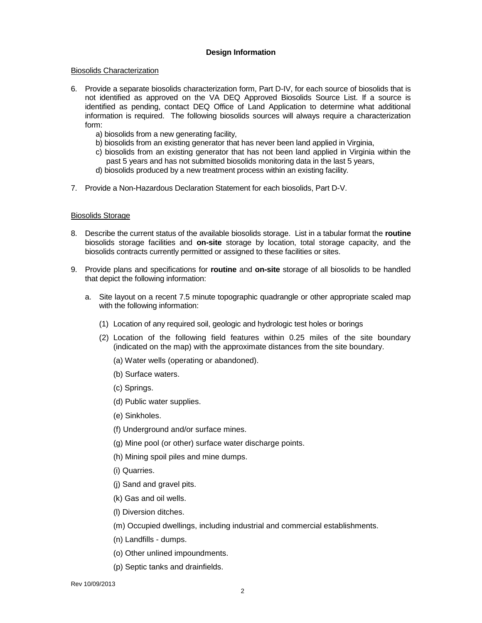# **Design Information**

## Biosolids Characterization

- 6. Provide a separate biosolids characterization form, Part D-IV, for each source of biosolids that is not identified as approved on the VA DEQ Approved Biosolids Source List. If a source is identified as pending, contact DEQ Office of Land Application to determine what additional information is required. The following biosolids sources will always require a characterization form:
	- a) biosolids from a new generating facility,
	- b) biosolids from an existing generator that has never been land applied in Virginia,
	- c) biosolids from an existing generator that has not been land applied in Virginia within the past 5 years and has not submitted biosolids monitoring data in the last 5 years,
	- d) biosolids produced by a new treatment process within an existing facility.
- 7. Provide a Non-Hazardous Declaration Statement for each biosolids, Part D-V.

## Biosolids Storage

- 8. Describe the current status of the available biosolids storage. List in a tabular format the **routine** biosolids storage facilities and **on-site** storage by location, total storage capacity, and the biosolids contracts currently permitted or assigned to these facilities or sites.
- 9. Provide plans and specifications for **routine** and **on-site** storage of all biosolids to be handled that depict the following information:
	- a. Site layout on a recent 7.5 minute topographic quadrangle or other appropriate scaled map with the following information:
		- (1) Location of any required soil, geologic and hydrologic test holes or borings
		- (2) Location of the following field features within 0.25 miles of the site boundary (indicated on the map) with the approximate distances from the site boundary.
			- (a) Water wells (operating or abandoned).
			- (b) Surface waters.
			- (c) Springs.
			- (d) Public water supplies.
			- (e) Sinkholes.
			- (f) Underground and/or surface mines.
			- (g) Mine pool (or other) surface water discharge points.
			- (h) Mining spoil piles and mine dumps.
			- (i) Quarries.
			- (j) Sand and gravel pits.
			- (k) Gas and oil wells.
			- (l) Diversion ditches.
			- (m) Occupied dwellings, including industrial and commercial establishments.
			- (n) Landfills dumps.
			- (o) Other unlined impoundments.
			- (p) Septic tanks and drainfields.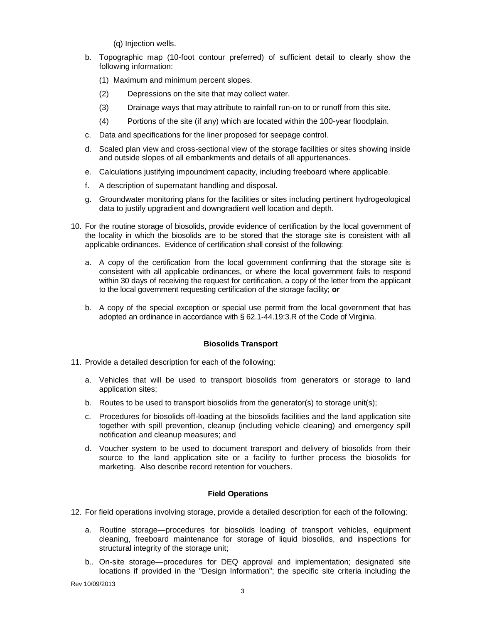(q) Injection wells.

- b. Topographic map (10-foot contour preferred) of sufficient detail to clearly show the following information:
	- (1) Maximum and minimum percent slopes.
	- (2) Depressions on the site that may collect water.
	- (3) Drainage ways that may attribute to rainfall run-on to or runoff from this site.
	- (4) Portions of the site (if any) which are located within the 100-year floodplain.
- c. Data and specifications for the liner proposed for seepage control.
- d. Scaled plan view and cross-sectional view of the storage facilities or sites showing inside and outside slopes of all embankments and details of all appurtenances.
- e. Calculations justifying impoundment capacity, including freeboard where applicable.
- f. A description of supernatant handling and disposal.
- g. Groundwater monitoring plans for the facilities or sites including pertinent hydrogeological data to justify upgradient and downgradient well location and depth.
- 10. For the routine storage of biosolids, provide evidence of certification by the local government of the locality in which the biosolids are to be stored that the storage site is consistent with all applicable ordinances. Evidence of certification shall consist of the following:
	- a. A copy of the certification from the local government confirming that the storage site is consistent with all applicable ordinances, or where the local government fails to respond within 30 days of receiving the request for certification, a copy of the letter from the applicant to the local government requesting certification of the storage facility; **or**
	- b. A copy of the special exception or special use permit from the local government that has adopted an ordinance in accordance with § 62.1-44.19:3.R of the Code of Virginia.

# **Biosolids Transport**

- 11. Provide a detailed description for each of the following:
	- a. Vehicles that will be used to transport biosolids from generators or storage to land application sites;
	- b. Routes to be used to transport biosolids from the generator(s) to storage unit(s);
	- c. Procedures for biosolids off-loading at the biosolids facilities and the land application site together with spill prevention, cleanup (including vehicle cleaning) and emergency spill notification and cleanup measures; and
	- d. Voucher system to be used to document transport and delivery of biosolids from their source to the land application site or a facility to further process the biosolids for marketing. Also describe record retention for vouchers.

## **Field Operations**

- 12. For field operations involving storage, provide a detailed description for each of the following:
	- a. Routine storage—procedures for biosolids loading of transport vehicles, equipment cleaning, freeboard maintenance for storage of liquid biosolids, and inspections for structural integrity of the storage unit;
	- b.. On-site storage—procedures for DEQ approval and implementation; designated site locations if provided in the "Design Information"; the specific site criteria including the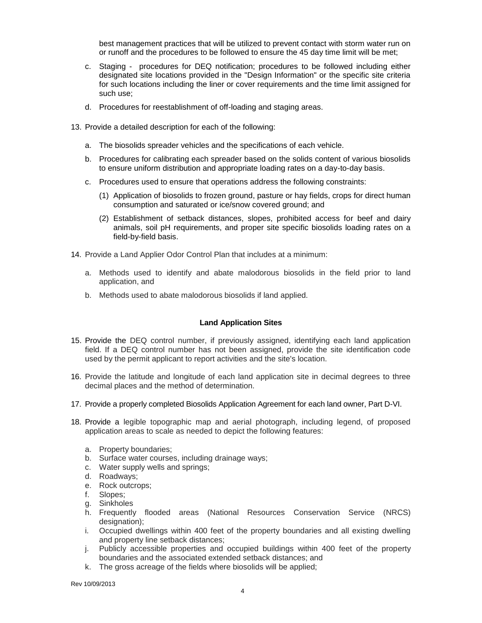best management practices that will be utilized to prevent contact with storm water run on or runoff and the procedures to be followed to ensure the 45 day time limit will be met;

- c. Staging procedures for DEQ notification; procedures to be followed including either designated site locations provided in the "Design Information" or the specific site criteria for such locations including the liner or cover requirements and the time limit assigned for such use;
- d. Procedures for reestablishment of off-loading and staging areas.
- 13. Provide a detailed description for each of the following:
	- a. The biosolids spreader vehicles and the specifications of each vehicle.
	- b. Procedures for calibrating each spreader based on the solids content of various biosolids to ensure uniform distribution and appropriate loading rates on a day-to-day basis.
	- c. Procedures used to ensure that operations address the following constraints:
		- (1) Application of biosolids to frozen ground, pasture or hay fields, crops for direct human consumption and saturated or ice/snow covered ground; and
		- (2) Establishment of setback distances, slopes, prohibited access for beef and dairy animals, soil pH requirements, and proper site specific biosolids loading rates on a field-by-field basis.
- 14. Provide a Land Applier Odor Control Plan that includes at a minimum:
	- a. Methods used to identify and abate malodorous biosolids in the field prior to land application, and
	- b. Methods used to abate malodorous biosolids if land applied.

## **Land Application Sites**

- 15. Provide the DEQ control number, if previously assigned, identifying each land application field. If a DEQ control number has not been assigned, provide the site identification code used by the permit applicant to report activities and the site's location.
- 16. Provide the latitude and longitude of each land application site in decimal degrees to three decimal places and the method of determination.
- 17. Provide a properly completed Biosolids Application Agreement for each land owner, Part D-VI.
- 18. Provide a legible topographic map and aerial photograph, including legend, of proposed application areas to scale as needed to depict the following features:
	- a. Property boundaries;
	- b. Surface water courses, including drainage ways;
	- c. Water supply wells and springs;
	- d. Roadways;
	- e. Rock outcrops;
	- f. Slopes;
	- g. Sinkholes
	- h. Frequently flooded areas (National Resources Conservation Service (NRCS) designation);
	- i. Occupied dwellings within 400 feet of the property boundaries and all existing dwelling and property line setback distances;
	- j. Publicly accessible properties and occupied buildings within 400 feet of the property boundaries and the associated extended setback distances; and
	- k. The gross acreage of the fields where biosolids will be applied;